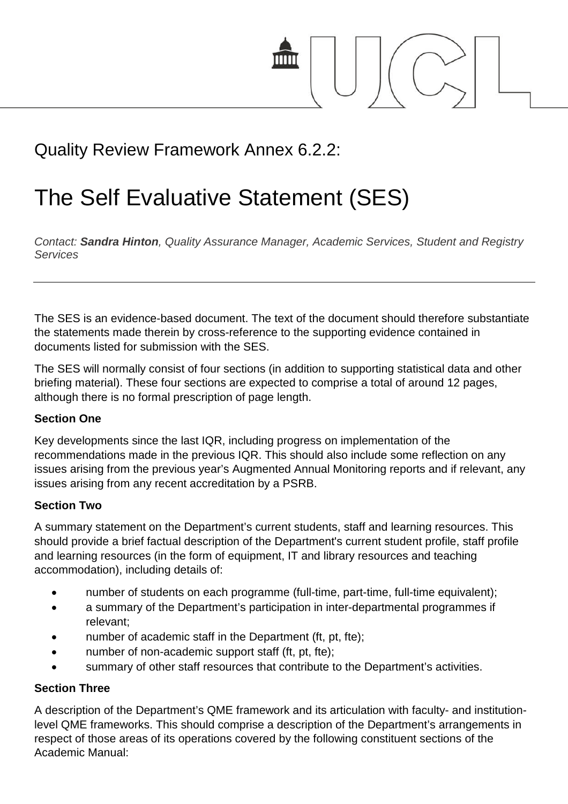

## Quality Review Framework Annex 6.2.2:

# The Self Evaluative Statement (SES)

*Contact: Sandra Hinton, Quality Assurance Manager, Academic Services, Student and Registry Services*

The SES is an evidence-based document. The text of the document should therefore substantiate the statements made therein by cross-reference to the supporting evidence contained in documents listed for submission with the SES.

The SES will normally consist of four sections (in addition to supporting statistical data and other briefing material). These four sections are expected to comprise a total of around 12 pages, although there is no formal prescription of page length.

#### **Section One**

Key developments since the last IQR, including progress on implementation of the recommendations made in the previous IQR. This should also include some reflection on any issues arising from the previous year's Augmented Annual Monitoring reports and if relevant, any issues arising from any recent accreditation by a PSRB.

#### **Section Two**

A summary statement on the Department's current students, staff and learning resources. This should provide a brief factual description of the Department's current student profile, staff profile and learning resources (in the form of equipment, IT and library resources and teaching accommodation), including details of:

- number of students on each programme (full-time, part-time, full-time equivalent);
- a summary of the Department's participation in inter-departmental programmes if relevant;
- number of academic staff in the Department (ft, pt, fte);
- number of non-academic support staff (ft, pt, fte);
- summary of other staff resources that contribute to the Department's activities.

#### **Section Three**

A description of the Department's QME framework and its articulation with faculty- and institutionlevel QME frameworks. This should comprise a description of the Department's arrangements in respect of those areas of its operations covered by the following constituent sections of the Academic Manual: